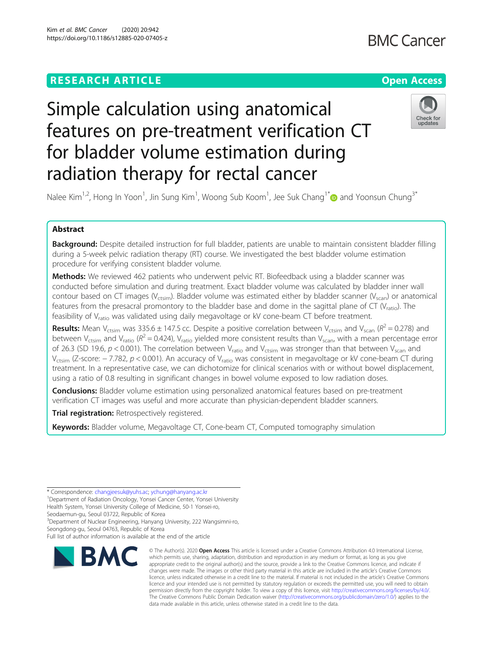# **RESEARCH ARTICLE Example 2014 12:30 The Contract of Contract ACCESS**

# Simple calculation using anatomical features on pre-treatment verification CT for bladder volume estimation during radiation therapy for rectal cancer



Nalee Kim<sup>1,2</sup>, Hong In Yoon<sup>1</sup>, Jin Sung Kim<sup>1</sup>, Woong Sub Koom<sup>1</sup>, Jee Suk Chang<sup>1\*</sup> and Yoonsun Chung<sup>3\*</sup>

## Abstract

Background: Despite detailed instruction for full bladder, patients are unable to maintain consistent bladder filling during a 5-week pelvic radiation therapy (RT) course. We investigated the best bladder volume estimation procedure for verifying consistent bladder volume.

Methods: We reviewed 462 patients who underwent pelvic RT. Biofeedback using a bladder scanner was conducted before simulation and during treatment. Exact bladder volume was calculated by bladder inner wall contour based on CT images (V<sub>ctsim</sub>). Bladder volume was estimated either by bladder scanner (V<sub>scan</sub>) or anatomical features from the presacral promontory to the bladder base and dome in the sagittal plane of CT ( $V_{ratio}$ ). The feasibility of V<sub>ratio</sub> was validated using daily megavoltage or kV cone-beam CT before treatment.

**Results:** Mean V<sub>ctsim</sub> was 335.6  $\pm$  147.5 cc. Despite a positive correlation between V<sub>ctsim</sub> and V<sub>scan</sub> ( $R^2$  = 0.278) and between V<sub>ctsim</sub> and V<sub>ratio</sub> ( $R^2$  = 0.424), V<sub>ratio</sub> yielded more consistent results than V<sub>scan</sub>, with a mean percentage error of 26.3 (SD 19.6,  $p < 0.001$ ). The correlation between V<sub>ratio</sub> and V<sub>ctsim</sub> was stronger than that between V<sub>scan</sub> and Vctsim (Z-score: − 7.782, p < 0.001). An accuracy of Vratio was consistent in megavoltage or kV cone-beam CT during treatment. In a representative case, we can dichotomize for clinical scenarios with or without bowel displacement, using a ratio of 0.8 resulting in significant changes in bowel volume exposed to low radiation doses.

**Conclusions:** Bladder volume estimation using personalized anatomical features based on pre-treatment verification CT images was useful and more accurate than physician-dependent bladder scanners.

Trial registration: Retrospectively registered.

Keywords: Bladder volume, Megavoltage CT, Cone-beam CT, Computed tomography simulation

\* Correspondence: [changjeesuk@yuhs.ac;](mailto:changjeesuk@yuhs.ac) [ychung@hanyang.ac.kr](mailto:ychung@hanyang.ac.kr) <sup>1</sup>

<sup>1</sup>Department of Radiation Oncology, Yonsei Cancer Center, Yonsei University Health System, Yonsei University College of Medicine, 50-1 Yonsei-ro,

Seodaemun-gu, Seoul 03722, Republic of Korea

<sup>3</sup>Department of Nuclear Engineering, Hanyang University, 222 Wangsimni-ro, Seongdong-gu, Seoul 04763, Republic of Korea

Full list of author information is available at the end of the article



<sup>©</sup> The Author(s), 2020 **Open Access** This article is licensed under a Creative Commons Attribution 4.0 International License, which permits use, sharing, adaptation, distribution and reproduction in any medium or format, as long as you give appropriate credit to the original author(s) and the source, provide a link to the Creative Commons licence, and indicate if changes were made. The images or other third party material in this article are included in the article's Creative Commons licence, unless indicated otherwise in a credit line to the material. If material is not included in the article's Creative Commons licence and your intended use is not permitted by statutory regulation or exceeds the permitted use, you will need to obtain permission directly from the copyright holder. To view a copy of this licence, visit [http://creativecommons.org/licenses/by/4.0/.](http://creativecommons.org/licenses/by/4.0/) The Creative Commons Public Domain Dedication waiver [\(http://creativecommons.org/publicdomain/zero/1.0/](http://creativecommons.org/publicdomain/zero/1.0/)) applies to the data made available in this article, unless otherwise stated in a credit line to the data.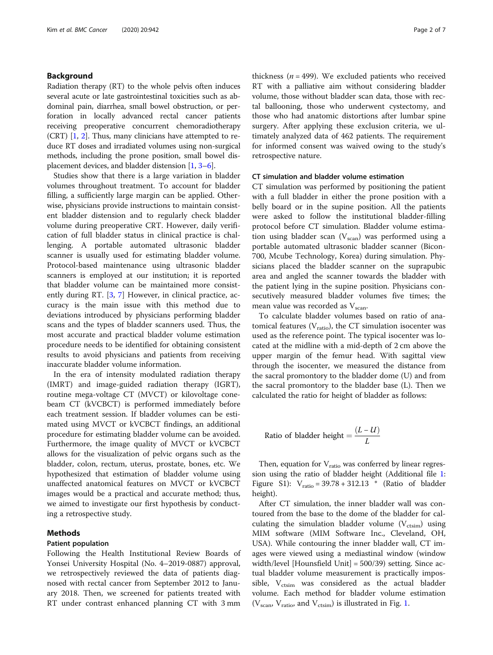#### Background

Radiation therapy (RT) to the whole pelvis often induces several acute or late gastrointestinal toxicities such as abdominal pain, diarrhea, small bowel obstruction, or perforation in locally advanced rectal cancer patients receiving preoperative concurrent chemoradiotherapy (CRT) [\[1,](#page-6-0) [2\]](#page-6-0). Thus, many clinicians have attempted to reduce RT doses and irradiated volumes using non-surgical methods, including the prone position, small bowel displacement devices, and bladder distension [\[1](#page-6-0), [3](#page-6-0)–[6](#page-6-0)].

Studies show that there is a large variation in bladder volumes throughout treatment. To account for bladder filling, a sufficiently large margin can be applied. Otherwise, physicians provide instructions to maintain consistent bladder distension and to regularly check bladder volume during preoperative CRT. However, daily verification of full bladder status in clinical practice is challenging. A portable automated ultrasonic bladder scanner is usually used for estimating bladder volume. Protocol-based maintenance using ultrasonic bladder scanners is employed at our institution; it is reported that bladder volume can be maintained more consistently during RT. [\[3,](#page-6-0) [7\]](#page-6-0) However, in clinical practice, accuracy is the main issue with this method due to deviations introduced by physicians performing bladder scans and the types of bladder scanners used. Thus, the most accurate and practical bladder volume estimation procedure needs to be identified for obtaining consistent results to avoid physicians and patients from receiving inaccurate bladder volume information.

In the era of intensity modulated radiation therapy (IMRT) and image-guided radiation therapy (IGRT), routine mega-voltage CT (MVCT) or kilovoltage conebeam CT (kVCBCT) is performed immediately before each treatment session. If bladder volumes can be estimated using MVCT or kVCBCT findings, an additional procedure for estimating bladder volume can be avoided. Furthermore, the image quality of MVCT or kVCBCT allows for the visualization of pelvic organs such as the bladder, colon, rectum, uterus, prostate, bones, etc. We hypothesized that estimation of bladder volume using unaffected anatomical features on MVCT or kVCBCT images would be a practical and accurate method; thus, we aimed to investigate our first hypothesis by conducting a retrospective study.

### Methods

#### Patient population

Following the Health Institutional Review Boards of Yonsei University Hospital (No. 4–2019-0887) approval, we retrospectively reviewed the data of patients diagnosed with rectal cancer from September 2012 to January 2018. Then, we screened for patients treated with RT under contrast enhanced planning CT with 3 mm

thickness ( $n = 499$ ). We excluded patients who received RT with a palliative aim without considering bladder volume, those without bladder scan data, those with rectal ballooning, those who underwent cystectomy, and those who had anatomic distortions after lumbar spine surgery. After applying these exclusion criteria, we ultimately analyzed data of 462 patients. The requirement for informed consent was waived owing to the study's retrospective nature.

#### CT simulation and bladder volume estimation

CT simulation was performed by positioning the patient with a full bladder in either the prone position with a belly board or in the supine position. All the patients were asked to follow the institutional bladder-filling protocol before CT simulation. Bladder volume estimation using bladder scan  $(V_{scan})$  was performed using a portable automated ultrasonic bladder scanner (Bicon-700, Mcube Technology, Korea) during simulation. Physicians placed the bladder scanner on the suprapubic area and angled the scanner towards the bladder with the patient lying in the supine position. Physicians consecutively measured bladder volumes five times; the mean value was recorded as V<sub>scan</sub>.

To calculate bladder volumes based on ratio of anatomical features  $(V_{\text{ratio}})$ , the CT simulation isocenter was used as the reference point. The typical isocenter was located at the midline with a mid-depth of 2 cm above the upper margin of the femur head. With sagittal view through the isocenter, we measured the distance from the sacral promontory to the bladder dome (U) and from the sacral promontory to the bladder base (L). Then we calculated the ratio for height of bladder as follows:

Ratio of bladder height = 
$$
\frac{(L - U)}{L}
$$

Then, equation for  $V_{ratio}$  was conferred by linear regression using the ratio of bladder height (Additional file [1](#page-5-0): Figure S1):  $V_{ratio} = 39.78 + 312.13$  \* (Ratio of bladder height).

After CT simulation, the inner bladder wall was contoured from the base to the dome of the bladder for calculating the simulation bladder volume  $(V_{\text{ctsim}})$  using MIM software (MIM Software Inc., Cleveland, OH, USA). While contouring the inner bladder wall, CT images were viewed using a mediastinal window (window width/level [Hounsfield Unit] = 500/39) setting. Since actual bladder volume measurement is practically impossible,  $V_{\text{ctsim}}$  was considered as the actual bladder volume. Each method for bladder volume estimation  $(V_{\text{scan}} V_{\text{ratio}})$  and  $V_{\text{ctsim}}$  is illustrated in Fig. [1](#page-2-0).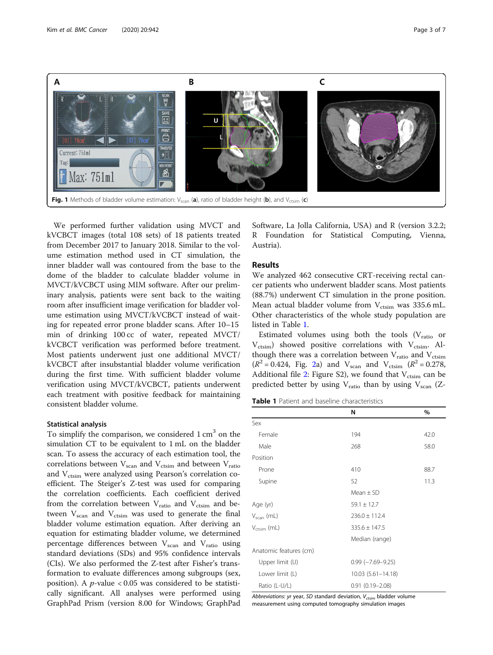<span id="page-2-0"></span>

We performed further validation using MVCT and kVCBCT images (total 108 sets) of 18 patients treated from December 2017 to January 2018. Similar to the volume estimation method used in CT simulation, the inner bladder wall was contoured from the base to the dome of the bladder to calculate bladder volume in MVCT/kVCBCT using MIM software. After our preliminary analysis, patients were sent back to the waiting room after insufficient image verification for bladder volume estimation using MVCT/kVCBCT instead of waiting for repeated error prone bladder scans. After 10–15 min of drinking 100 cc of water, repeated MVCT/ kVCBCT verification was performed before treatment. Most patients underwent just one additional MVCT/ kVCBCT after insubstantial bladder volume verification during the first time. With sufficient bladder volume verification using MVCT/kVCBCT, patients underwent each treatment with positive feedback for maintaining consistent bladder volume.

#### Statistical analysis

To simplify the comparison, we considered  $1 \text{ cm}^3$  on the simulation CT to be equivalent to 1 mL on the bladder scan. To assess the accuracy of each estimation tool, the correlations between  $V_{scan}$  and  $V_{ctsim}$  and between  $V_{ratio}$ and V<sub>ctsim</sub> were analyzed using Pearson's correlation coefficient. The Steiger's Z-test was used for comparing the correlation coefficients. Each coefficient derived from the correlation between  $V_{ratio}$  and  $V_{ctsim}$  and between  $V_{scan}$  and  $V_{ctsim}$  was used to generate the final bladder volume estimation equation. After deriving an equation for estimating bladder volume, we determined percentage differences between  $V_{scan}$  and  $V_{ratio}$  using standard deviations (SDs) and 95% confidence intervals (CIs). We also performed the Z-test after Fisher's transformation to evaluate differences among subgroups (sex, position). A  $p$ -value < 0.05 was considered to be statistically significant. All analyses were performed using GraphPad Prism (version 8.00 for Windows; GraphPad Software, La Jolla California, USA) and R (version 3.2.2; R Foundation for Statistical Computing, Vienna, Austria).

#### Results

We analyzed 462 consecutive CRT-receiving rectal cancer patients who underwent bladder scans. Most patients (88.7%) underwent CT simulation in the prone position. Mean actual bladder volume from  $V_{\text{ctsim}}$  was 335.6 mL. Other characteristics of the whole study population are listed in Table 1.

Estimated volumes using both the tools  $(V_{ratio}$  or  $V_{\text{ctsim}}$ ) showed positive correlations with  $V_{\text{ctsim}}$ . Although there was a correlation between  $V_{ratio}$  and  $V_{ctsim}$  $(R^2 = 0.424,$  Fig. [2a](#page-3-0)) and  $V_{\text{scan}}$  and  $V_{\text{ctsim}}$   $(R^2 = 0.278,$ Additional file [2:](#page-5-0) Figure S2), we found that  $V_{\text{ctsim}}$  can be predicted better by using  $V_{ratio}$  than by using  $V_{scan}$  (Z-

Table 1 Patient and baseline characteristics

|                         | N                         | %    |  |  |  |
|-------------------------|---------------------------|------|--|--|--|
| Sex                     |                           |      |  |  |  |
| Female                  | 194                       | 42.0 |  |  |  |
| Male                    | 268                       | 58.0 |  |  |  |
| Position                |                           |      |  |  |  |
| Prone                   | 410                       | 88.7 |  |  |  |
| Supine                  | 52                        | 11.3 |  |  |  |
|                         | Mean $\pm$ SD             |      |  |  |  |
| Age (yr)                | $59.1 \pm 12.7$           |      |  |  |  |
| $V_{scan}$ (mL)         | $236.0 \pm 112.4$         |      |  |  |  |
| $V_{\text{crsim}}$ (mL) | $335.6 \pm 147.5$         |      |  |  |  |
|                         | Median (range)            |      |  |  |  |
| Anatomic features (cm)  |                           |      |  |  |  |
| Upper limit (U)         | $0.99$ ( $-7.69 - 9.25$ ) |      |  |  |  |
| Lower limit (L)         | 10.03 (5.61-14.18)        |      |  |  |  |
| Ratio (L-U/L)           | $0.91(0.19 - 2.08)$       |      |  |  |  |

Abbreviations: yr year, SD standard deviation,  $V_{ctsim}$  bladder volume measurement using computed tomography simulation images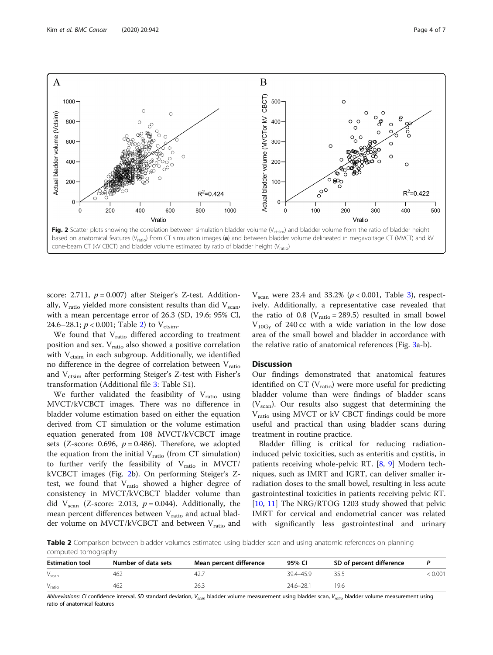<span id="page-3-0"></span>

cone-beam CT (kV CBCT) and bladder volume estimated by ratio of bladder height ( $V_{\text{ratio}}$ )

score: 2.711,  $p = 0.007$ ) after Steiger's Z-test. Additionally,  $V_{\text{ratio}}$  yielded more consistent results than did  $V_{\text{scan}}$ , with a mean percentage error of 26.3 (SD, 19.6; 95% CI, 24.6–28.1;  $p < 0.001$ ; Table 2) to V<sub>ctsim</sub>.

We found that  $V_{ratio}$  differed according to treatment position and sex.  $V_{ratio}$  also showed a positive correlation with  $V_{\text{ctsim}}$  in each subgroup. Additionally, we identified no difference in the degree of correlation between  $V_{ratio}$ and V<sub>ctsim</sub> after performing Steiger's Z-test with Fisher's transformation (Additional file [3](#page-5-0): Table S1).

We further validated the feasibility of  $V_{\text{ratio}}$  using MVCT/kVCBCT images. There was no difference in bladder volume estimation based on either the equation derived from CT simulation or the volume estimation equation generated from 108 MVCT/kVCBCT image sets (Z-score: 0.696,  $p = 0.486$ ). Therefore, we adopted the equation from the initial  $V_{ratio}$  (from CT simulation) to further verify the feasibility of  $V_{ratio}$  in MVCT/ kVCBCT images (Fig. 2b). On performing Steiger's Ztest, we found that  $V_{ratio}$  showed a higher degree of consistency in MVCT/kVCBCT bladder volume than did V<sub>scan</sub> (Z-score: 2.013,  $p = 0.044$ ). Additionally, the mean percent differences between V<sub>ratio</sub> and actual bladder volume on MVCT/kVCBCT and between V<sub>ratio</sub> and

 $V<sub>scan</sub>$  were 23.4 and 33.2% ( $p < 0.001$ , Table [3\)](#page-4-0), respectively. Additionally, a representative case revealed that the ratio of 0.8 ( $V_{ratio} = 289.5$ ) resulted in small bowel  $V_{10Gv}$  of 240 cc with a wide variation in the low dose area of the small bowel and bladder in accordance with the relative ratio of anatomical references (Fig. [3](#page-4-0)a-b).

#### **Discussion**

Our findings demonstrated that anatomical features identified on CT  $(V_{ratio})$  were more useful for predicting bladder volume than were findings of bladder scans  $(V<sub>scan</sub>)$ . Our results also suggest that determining the V<sub>ratio</sub> using MVCT or kV CBCT findings could be more useful and practical than using bladder scans during treatment in routine practice.

Bladder filling is critical for reducing radiationinduced pelvic toxicities, such as enteritis and cystitis, in patients receiving whole-pelvic RT. [\[8](#page-6-0), [9\]](#page-6-0) Modern techniques, such as IMRT and IGRT, can deliver smaller irradiation doses to the small bowel, resulting in less acute gastrointestinal toxicities in patients receiving pelvic RT. [[10,](#page-6-0) [11\]](#page-6-0) The NRG/RTOG 1203 study showed that pelvic IMRT for cervical and endometrial cancer was related with significantly less gastrointestinal and urinary

Table 2 Comparison between bladder volumes estimated using bladder scan and using anatomic references on planning computed tomography

| <b>Estimation tool</b> | Number of data sets | Mean percent difference | 95% CI        | SD of percent difference |       |
|------------------------|---------------------|-------------------------|---------------|--------------------------|-------|
| $V_{scan}$             | 462                 | 42.                     | 39.4-45.9     |                          | 0.001 |
| $V_{ratio}$            | 462                 | 26.3                    | $24.6 - 28.1$ | 19.6                     |       |

Abbreviations: CI confidence interval, SD standard deviation, V<sub>scan</sub> bladder volume measurement using bladder scan, V<sub>ratio</sub> bladder volume measurement using ratio of anatomical features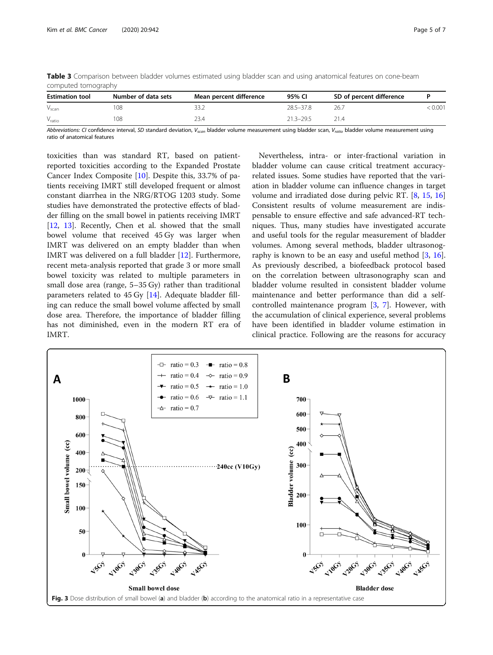| compaced company       |                     |                         |               |                          |       |  |  |
|------------------------|---------------------|-------------------------|---------------|--------------------------|-------|--|--|
| <b>Estimation tool</b> | Number of data sets | Mean percent difference | 95% CI        | SD of percent difference |       |  |  |
| $V_{scan}$             | 108                 |                         | $28.5 - 37.8$ | 26.,                     | 0.001 |  |  |
| $V_{\text{ratio}}$     | 108                 |                         | $21.3 - 29.5$ |                          |       |  |  |

<span id="page-4-0"></span>Table 3 Comparison between bladder volumes estimated using bladder scan and using anatomical features on cone-beam computed tomography

Abbreviations: CI confidence interval, SD standard deviation, V<sub>scan</sub> bladder volume measurement using bladder scan, V<sub>ratio</sub> bladder volume measurement using ratio of anatomical features

toxicities than was standard RT, based on patientreported toxicities according to the Expanded Prostate Cancer Index Composite [\[10\]](#page-6-0). Despite this, 33.7% of patients receiving IMRT still developed frequent or almost constant diarrhea in the NRG/RTOG 1203 study. Some studies have demonstrated the protective effects of bladder filling on the small bowel in patients receiving IMRT [[12,](#page-6-0) [13\]](#page-6-0). Recently, Chen et al. showed that the small bowel volume that received 45 Gy was larger when IMRT was delivered on an empty bladder than when IMRT was delivered on a full bladder [[12\]](#page-6-0). Furthermore, recent meta-analysis reported that grade 3 or more small bowel toxicity was related to multiple parameters in small dose area (range, 5–35 Gy) rather than traditional parameters related to 45 Gy [\[14\]](#page-6-0). Adequate bladder filling can reduce the small bowel volume affected by small dose area. Therefore, the importance of bladder filling has not diminished, even in the modern RT era of IMRT.

Nevertheless, intra- or inter-fractional variation in bladder volume can cause critical treatment accuracyrelated issues. Some studies have reported that the variation in bladder volume can influence changes in target volume and irradiated dose during pelvic RT. [[8,](#page-6-0) [15](#page-6-0), [16](#page-6-0)] Consistent results of volume measurement are indispensable to ensure effective and safe advanced-RT techniques. Thus, many studies have investigated accurate and useful tools for the regular measurement of bladder volumes. Among several methods, bladder ultrasonog-raphy is known to be an easy and useful method [\[3](#page-6-0), [16](#page-6-0)]. As previously described, a biofeedback protocol based on the correlation between ultrasonography scan and bladder volume resulted in consistent bladder volume maintenance and better performance than did a selfcontrolled maintenance program [[3,](#page-6-0) [7](#page-6-0)]. However, with the accumulation of clinical experience, several problems have been identified in bladder volume estimation in clinical practice. Following are the reasons for accuracy

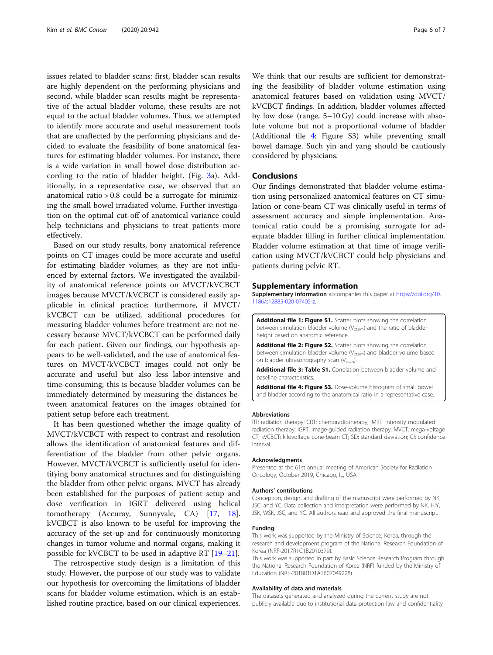<span id="page-5-0"></span>issues related to bladder scans: first, bladder scan results are highly dependent on the performing physicians and second, while bladder scan results might be representative of the actual bladder volume, these results are not equal to the actual bladder volumes. Thus, we attempted to identify more accurate and useful measurement tools that are unaffected by the performing physicians and decided to evaluate the feasibility of bone anatomical features for estimating bladder volumes. For instance, there is a wide variation in small bowel dose distribution according to the ratio of bladder height. (Fig. [3](#page-4-0)a). Additionally, in a representative case, we observed that an anatomical ratio > 0.8 could be a surrogate for minimizing the small bowel irradiated volume. Further investigation on the optimal cut-off of anatomical variance could help technicians and physicians to treat patients more effectively.

Based on our study results, bony anatomical reference points on CT images could be more accurate and useful for estimating bladder volumes, as they are not influenced by external factors. We investigated the availability of anatomical reference points on MVCT/kVCBCT images because MVCT/kVCBCT is considered easily applicable in clinical practice; furthermore, if MVCT/ kVCBCT can be utilized, additional procedures for measuring bladder volumes before treatment are not necessary because MVCT/kVCBCT can be performed daily for each patient. Given our findings, our hypothesis appears to be well-validated, and the use of anatomical features on MVCT/kVCBCT images could not only be accurate and useful but also less labor-intensive and time-consuming; this is because bladder volumes can be immediately determined by measuring the distances between anatomical features on the images obtained for patient setup before each treatment.

It has been questioned whether the image quality of MVCT/kVCBCT with respect to contrast and resolution allows the identification of anatomical features and differentiation of the bladder from other pelvic organs. However, MVCT/kVCBCT is sufficiently useful for identifying bony anatomical structures and for distinguishing the bladder from other pelvic organs. MVCT has already been established for the purposes of patient setup and dose verification in IGRT delivered using helical tomotherapy (Accuray, Sunnyvale, CA) [\[17,](#page-6-0) [18](#page-6-0)]. kVCBCT is also known to be useful for improving the accuracy of the set-up and for continuously monitoring changes in tumor volume and normal organs, making it possible for kVCBCT to be used in adaptive RT [[19](#page-6-0)–[21](#page-6-0)].

The retrospective study design is a limitation of this study. However, the purpose of our study was to validate our hypothesis for overcoming the limitations of bladder scans for bladder volume estimation, which is an established routine practice, based on our clinical experiences.

We think that our results are sufficient for demonstrating the feasibility of bladder volume estimation using anatomical features based on validation using MVCT/ kVCBCT findings. In addition, bladder volumes affected by low dose (range, 5–10 Gy) could increase with absolute volume but not a proportional volume of bladder (Additional file 4: Figure S3) while preventing small bowel damage. Such yin and yang should be cautiously considered by physicians.

#### Conclusions

Our findings demonstrated that bladder volume estimation using personalized anatomical features on CT simulation or cone-beam CT was clinically useful in terms of assessment accuracy and simple implementation. Anatomical ratio could be a promising surrogate for adequate bladder filling in further clinical implementation. Bladder volume estimation at that time of image verification using MVCT/kVCBCT could help physicians and patients during pelvic RT.

#### Supplementary information

Supplementary information accompanies this paper at [https://doi.org/10.](https://doi.org/10.1186/s12885-020-07405-z) [1186/s12885-020-07405-z.](https://doi.org/10.1186/s12885-020-07405-z)

Additional file 1: Figure S1. Scatter plots showing the correlation between simulation bladder volume ( $V_{\text{ctsim}}$ ) and the ratio of bladder height based on anatomic reference.

Additional file 2: Figure S2. Scatter plots showing the correlation between simulation bladder volume (V<sub>ctsim</sub>) and bladder volume based on bladder ultrasonography scan (V<sub>scan</sub>).

Additional file 3: Table S1. Correlation between bladder volume and baseline characteristics.

Additional file 4: Figure S3. Dose-volume histogram of small bowel and bladder according to the anatomical ratio in a representative case.

#### Abbreviations

RT: radiation therapy; CRT: chemoradiotherapy; IMRT: intensity modulated radiation therapy; IGRT: image-guided radiation therapy; MVCT: mega-voltage CT; kVCBCT: kilovoltage cone-beam CT; SD: standard deviation; CI: confidence interval

#### Acknowledgments

Presented at the 61st annual meeting of American Society for Radiation Oncology, October 2019, Chicago, IL, USA.

#### Authors' contributions

Conception, design, and drafting of the manuscript were performed by NK, JSC, and YC. Data collection and interpretation were performed by NK, HIY, JSK, WSK, JSC, and YC. All authors read and approved the final manuscript.

#### Funding

This work was supported by the Ministry of Science, Korea, through the research and development program of the National Research Foundation of Korea (NRF-2017R1C1B2010379).

This work was supported in part by Basic Science Research Program through the National Research Foundation of Korea (NRF) funded by the Ministry of Education (NRF-2018R1D1A1B07049228).

#### Availability of data and materials

The datasets generated and analyzed during the current study are not publicly available due to institutional data protection law and confidentiality